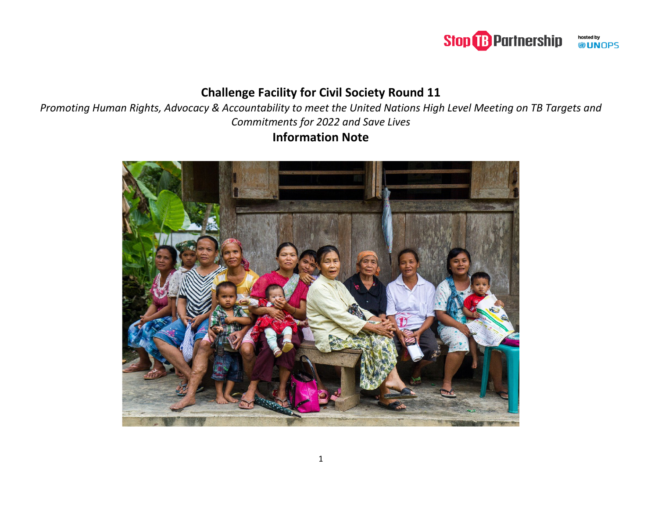#### **Stop B** Partnership hosted by<br>**UN**OPS

# **Challenge Facility for Civil Society Round 11**

*Promoting Human Rights, Advocacy & Accountability to meet the United Nations High Level Meeting on TB Targets and Commitments for 2022 and Save Lives* **Information Note**

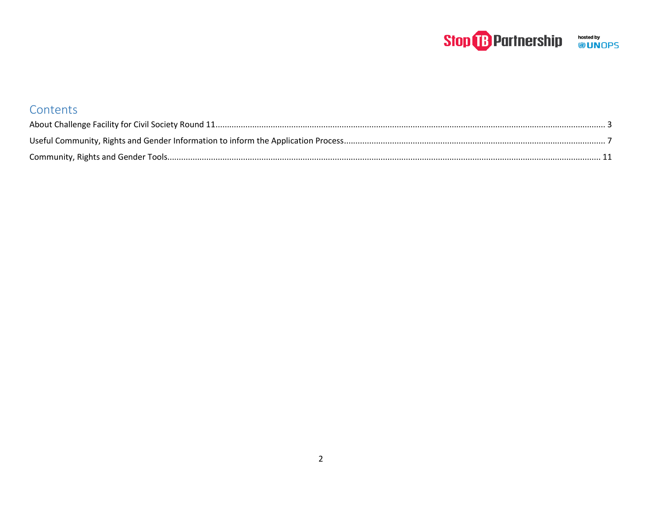# Stop **B** Partnership **bosted by**

| Contents |  |
|----------|--|
|          |  |
|          |  |
|          |  |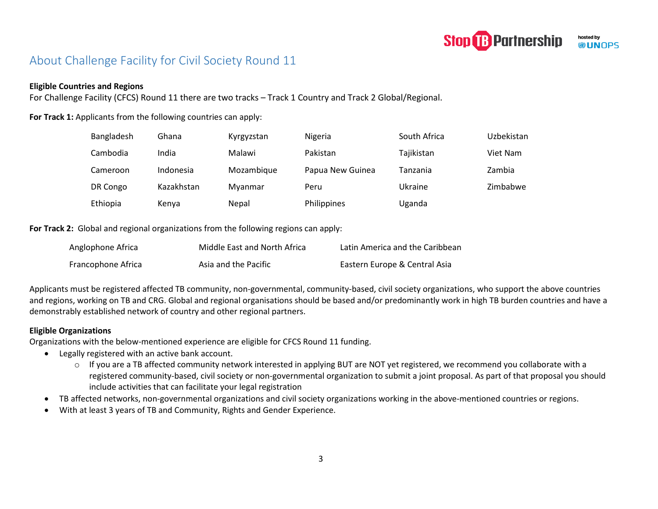

# <span id="page-2-0"></span>About Challenge Facility for Civil Society Round 11

#### **Eligible Countries and Regions**

For Challenge Facility (CFCS) Round 11 there are two tracks – Track 1 Country and Track 2 Global/Regional.

For Track 1: Applicants from the following countries can apply:

| Bangladesh | Ghana      | Kyrgyzstan | Nigeria          | South Africa | Uzbekistan |
|------------|------------|------------|------------------|--------------|------------|
| Cambodia   | India      | Malawi     | Pakistan         | Tajikistan   | Viet Nam   |
| Cameroon   | Indonesia  | Mozambique | Papua New Guinea | Tanzania     | Zambia     |
| DR Congo   | Kazakhstan | Myanmar    | Peru             | Ukraine      | Zimbabwe   |
| Ethiopia   | Kenya      | Nepal      | Philippines      | Uganda       |            |

**For Track 2:** Global and regional organizations from the following regions can apply:

| Anglophone Africa  | Middle East and North Africa | Latin America and the Caribbean |
|--------------------|------------------------------|---------------------------------|
| Francophone Africa | Asia and the Pacific         | Eastern Europe & Central Asia   |

Applicants must be registered affected TB community, non-governmental, community-based, civil society organizations, who support the above countries and regions, working on TB and CRG. Global and regional organisations should be based and/or predominantly work in high TB burden countries and have a demonstrably established network of country and other regional partners.

#### **Eligible Organizations**

Organizations with the below-mentioned experience are eligible for CFCS Round 11 funding.

- Legally registered with an active bank account.
	- o If you are a TB affected community network interested in applying BUT are NOT yet registered, we recommend you collaborate with a registered community-based, civil society or non-governmental organization to submit a joint proposal. As part of that proposal you should include activities that can facilitate your legal registration
- TB affected networks, non-governmental organizations and civil society organizations working in the above-mentioned countries or regions.
- With at least 3 years of TB and Community, Rights and Gender Experience.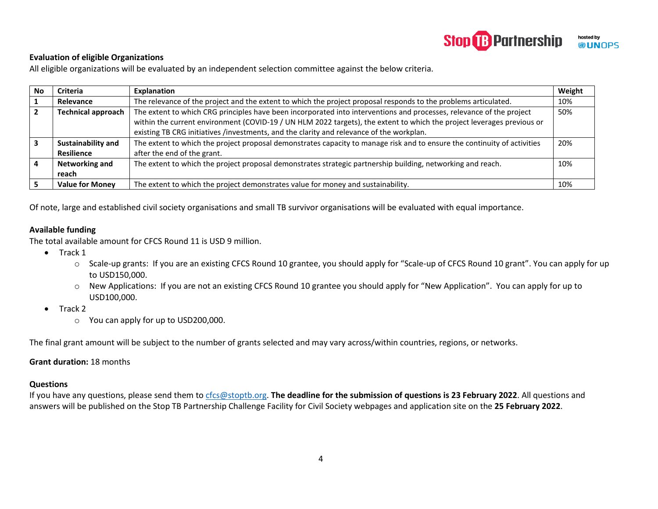

#### **Evaluation of eligible Organizations**

All eligible organizations will be evaluated by an independent selection committee against the below criteria.

| No | <b>Criteria</b>                                                                                                                                   | Explanation                                                                                                              | Weight |
|----|---------------------------------------------------------------------------------------------------------------------------------------------------|--------------------------------------------------------------------------------------------------------------------------|--------|
|    | Relevance                                                                                                                                         | The relevance of the project and the extent to which the project proposal responds to the problems articulated.          | 10%    |
|    | The extent to which CRG principles have been incorporated into interventions and processes, relevance of the project<br><b>Technical approach</b> |                                                                                                                          | 50%    |
|    |                                                                                                                                                   | within the current environment (COVID-19 / UN HLM 2022 targets), the extent to which the project leverages previous or   |        |
|    |                                                                                                                                                   | existing TB CRG initiatives /investments, and the clarity and relevance of the workplan.                                 |        |
|    | Sustainability and                                                                                                                                | The extent to which the project proposal demonstrates capacity to manage risk and to ensure the continuity of activities | 20%    |
|    | <b>Resilience</b>                                                                                                                                 | after the end of the grant.                                                                                              |        |
|    | <b>Networking and</b>                                                                                                                             | The extent to which the project proposal demonstrates strategic partnership building, networking and reach.              | 10%    |
|    | reach                                                                                                                                             |                                                                                                                          |        |
|    | <b>Value for Money</b>                                                                                                                            | The extent to which the project demonstrates value for money and sustainability.                                         | 10%    |

Of note, large and established civil society organisations and small TB survivor organisations will be evaluated with equal importance.

#### **Available funding**

The total available amount for CFCS Round 11 is USD 9 million.

- Track 1
	- o Scale-up grants: If you are an existing CFCS Round 10 grantee, you should apply for "Scale-up of CFCS Round 10 grant". You can apply for up to USD150,000.
	- o New Applications: If you are not an existing CFCS Round 10 grantee you should apply for "New Application". You can apply for up to USD100,000.
- Track 2
	- o You can apply for up to USD200,000.

The final grant amount will be subject to the number of grants selected and may vary across/within countries, regions, or networks.

#### **Grant duration:** 18 months

#### **Questions**

If you have any questions, please send them t[o cfcs@stoptb.org.](mailto:cfcs@stoptb.org) **The deadline for the submission of questions is 23 February 2022**. All questions and answers will be published on the Stop TB Partnership Challenge Facility for Civil Society webpages and application site on the **25 February 2022**.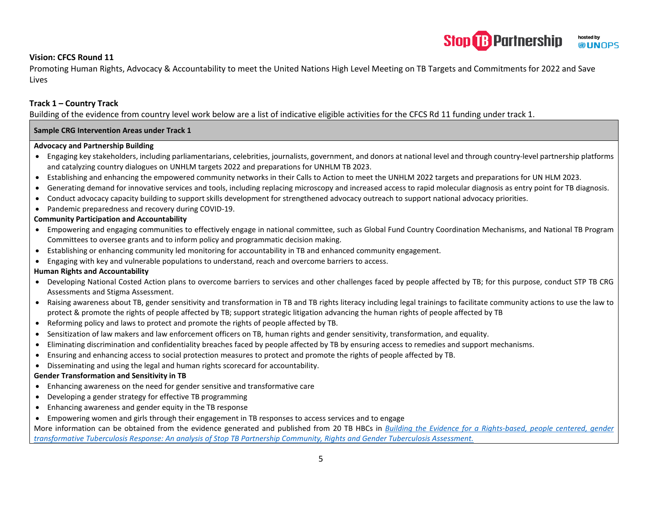#### **Stop B Partnership** hosted by **WUNOPS**

#### **Vision: CFCS Round 11**

Promoting Human Rights, Advocacy & Accountability to meet the United Nations High Level Meeting on TB Targets and Commitments for 2022 and Save Lives

#### **Track 1 – Country Track**

Building of the evidence from country level work below are a list of indicative eligible activities for the CFCS Rd 11 funding under track 1.

#### **Sample CRG Intervention Areas under Track 1**

#### **Advocacy and Partnership Building**

- Engaging key stakeholders, including parliamentarians, celebrities, journalists, government, and donors at national level and through country-level partnership platforms and catalyzing country dialogues on UNHLM targets 2022 and preparations for UNHLM TB 2023.
- Establishing and enhancing the empowered community networks in their Calls to Action to meet the UNHLM 2022 targets and preparations for UN HLM 2023.
- Generating demand for innovative services and tools, including replacing microscopy and increased access to rapid molecular diagnosis as entry point for TB diagnosis.
- Conduct advocacy capacity building to support skills development for strengthened advocacy outreach to support national advocacy priorities.
- Pandemic preparedness and recovery during COVID-19.

#### **Community Participation and Accountability**

- Empowering and engaging communities to effectively engage in national committee, such as Global Fund Country Coordination Mechanisms, and National TB Program Committees to oversee grants and to inform policy and programmatic decision making.
- Establishing or enhancing community led monitoring for accountability in TB and enhanced community engagement.
- Engaging with key and vulnerable populations to understand, reach and overcome barriers to access.

#### **Human Rights and Accountability**

- Developing National Costed Action plans to overcome barriers to services and other challenges faced by people affected by TB; for this purpose, conduct STP TB CRG Assessments and Stigma Assessment.
- Raising awareness about TB, gender sensitivity and transformation in TB and TB rights literacy including legal trainings to facilitate community actions to use the law to protect & promote the rights of people affected by TB; support strategic litigation advancing the human rights of people affected by TB
- Reforming policy and laws to protect and promote the rights of people affected by TB.
- Sensitization of law makers and law enforcement officers on TB, human rights and gender sensitivity, transformation, and equality.
- Eliminating discrimination and confidentiality breaches faced by people affected by TB by ensuring access to remedies and support mechanisms.
- Ensuring and enhancing access to social protection measures to protect and promote the rights of people affected by TB.
- Disseminating and using the legal and human rights scorecard for accountability.

#### **Gender Transformation and Sensitivity in TB**

- Enhancing awareness on the need for gender sensitive and transformative care
- Developing a gender strategy for effective TB programming
- Enhancing awareness and gender equity in the TB response
- Empowering women and girls through their engagement in TB responses to access services and to engage

More information can be obtained from the evidence generated and published from 20 TB HBCs in *[Building the Evidence for a Rights-based, people centered, gender](https://www.hhrjournal.org/2021/12/building-the-evidence-for-a-rights-based-people-centered-gender-transformative-tuberculosis-response-an-analysis-of-the-stop-tb-partnership-community-rights-and-gender-tuberculosis-assessment/)  [transformative Tuberculosis Response: An analysis of Stop TB Partnership Community, Rights and Gender Tuberculosis Assessment.](https://www.hhrjournal.org/2021/12/building-the-evidence-for-a-rights-based-people-centered-gender-transformative-tuberculosis-response-an-analysis-of-the-stop-tb-partnership-community-rights-and-gender-tuberculosis-assessment/)*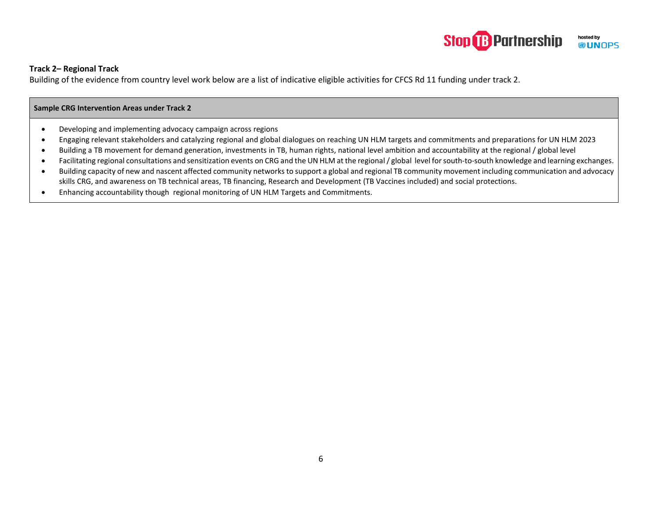#### **Stop & Partnership** hosted by **WUNOPS**

#### **Track 2– Regional Track**

Building of the evidence from country level work below are a list of indicative eligible activities for CFCS Rd 11 funding under track 2.

#### **Sample CRG Intervention Areas under Track 2**

- Developing and implementing advocacy campaign across regions
- Engaging relevant stakeholders and catalyzing regional and global dialogues on reaching UN HLM targets and commitments and preparations for UN HLM 2023
- Building a TB movement for demand generation, investments in TB, human rights, national level ambition and accountability at the regional / global level
- Facilitating regional consultations and sensitization events on CRG and the UN HLM at the regional / global level for south-to-south knowledge and learning exchanges.
- Building capacity of new and nascent affected community networks to support a global and regional TB community movement including communication and advocacy skills CRG, and awareness on TB technical areas, TB financing, Research and Development (TB Vaccines included) and social protections.
- <span id="page-5-0"></span>• Enhancing accountability though regional monitoring of UN HLM Targets and Commitments.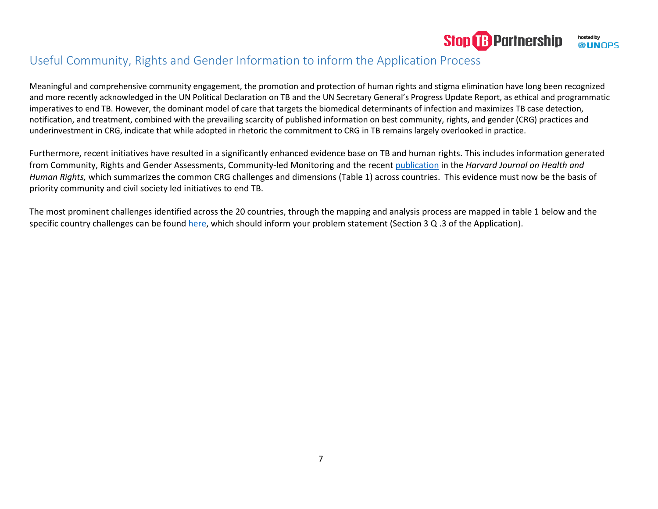

## Useful Community, Rights and Gender Information to inform the Application Process

Meaningful and comprehensive community engagement, the promotion and protection of human rights and stigma elimination have long been recognized and more recently acknowledged in the UN Political Declaration on TB and the UN Secretary General's Progress Update Report, as ethical and programmatic imperatives to end TB. However, the dominant model of care that targets the biomedical determinants of infection and maximizes TB case detection, notification, and treatment, combined with the prevailing scarcity of published information on best community, rights, and gender (CRG) practices and underinvestment in CRG, indicate that while adopted in rhetoric the commitment to CRG in TB remains largely overlooked in practice.

Furthermore, recent initiatives have resulted in a significantly enhanced evidence base on TB and human rights. This includes information generated from Community, Rights and Gender Assessments, Community-led Monitoring and the recent [publication](https://www.hhrjournal.org/2021/12/building-the-evidence-for-a-rights-based-people-centered-gender-transformative-tuberculosis-response-an-analysis-of-the-stop-tb-partnership-community-rights-and-gender-tuberculosis-assessment/) in the *Harvard Journal on Health and Human Rights,* which summarizes the common CRG challenges and dimensions (Table 1) across countries. This evidence must now be the basis of priority community and civil society led initiatives to end TB.

The most prominent challenges identified across the 20 countries, through the mapping and analysis process are mapped in table 1 below and the specific country challenges can be found [here,](https://www.stoptb.org/crg-assessment-results-analysis-0) which should inform your problem statement (Section 3 Q .3 of the Application).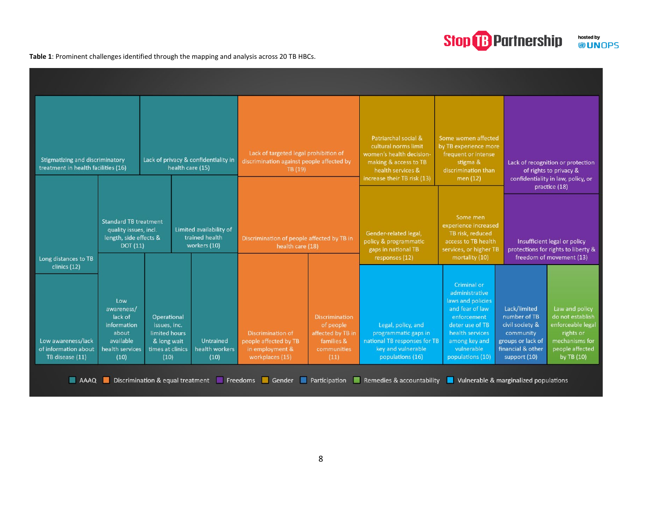## **Stop B** Partnership hosted by<br><sup>©</sup> UNOPS

**Table 1**: Prominent challenges identified through the mapping and analysis across 20 TB HBCs.

| Stigmatizing and discriminatory<br>Lack of privacy & confidentiality in<br>health care (15)<br>treatment in health facilities (16) |                                                                                              | Lack of targeted legal prohibition of<br>discrimination against people affected by<br>TB (19) |                                                           | Patriarchal social &<br>cultural norms limit<br>women's health decision<br>making & access to TB<br>health services &<br>increase their TB risk (13) | Some women affected<br>by TB experience more<br>frequent or intense<br>stigma &<br>discrimination than<br>men $(12)$ | Lack of recognition or protection<br>of rights to privacy &<br>confidentiality in law, policy, or                    |                                                                                                                                                                               |                                                                                                                        |                                                                                                                         |
|------------------------------------------------------------------------------------------------------------------------------------|----------------------------------------------------------------------------------------------|-----------------------------------------------------------------------------------------------|-----------------------------------------------------------|------------------------------------------------------------------------------------------------------------------------------------------------------|----------------------------------------------------------------------------------------------------------------------|----------------------------------------------------------------------------------------------------------------------|-------------------------------------------------------------------------------------------------------------------------------------------------------------------------------|------------------------------------------------------------------------------------------------------------------------|-------------------------------------------------------------------------------------------------------------------------|
| Long distances to TB                                                                                                               | <b>Standard TB treatment</b><br>quality issues, incl.<br>length, side effects &<br>DOT(11)   |                                                                                               | Limited availability of<br>trained health<br>workers (10) | Discrimination of people affected by TB in<br>health care (18)                                                                                       |                                                                                                                      | Gender-related legal,<br>policy & programmatic<br>gaps in national TB<br>responses (12)                              | Some men<br>experience increased<br>TB risk, reduced<br>access to TB health<br>services, or higher TB<br>mortality (10)                                                       | practice (18)<br>Insufficient legal or policy<br>protections for rights to liberty &<br>freedom of movement (13)       |                                                                                                                         |
| clinics (12)<br>Low awareness/lack<br>of information about<br>TB disease (11)                                                      | Low<br>awareness/<br>lack of<br>information<br>about<br>available<br>health services<br>(10) | Operational<br>issues, inc.<br>limited hours<br>& long wait<br>times at clinics<br>(10)       | Untrained<br>health workers<br>(10)                       | <b>Discrimination of</b><br>people affected by TB<br>in employment &<br>workplaces (15)                                                              | <b>Discrimination</b><br>of people<br>affected by TB in<br>families &<br>communities<br>(11)                         | Legal, policy, and<br>programmatic gaps in<br>national TB responses for TB<br>key and vulnerable<br>populations (16) | Criminal or<br>administrative<br>laws and policies<br>and fear of law<br>enforcement<br>deter use of TB<br>health services<br>among key and<br>vulnerable<br>populations (10) | Lack/limited<br>number of TB<br>civil society &<br>community<br>groups or lack of<br>financial & other<br>support (10) | Law and policy<br>do not establish<br>enforceable legal<br>rights or<br>mechanisms for<br>people affected<br>by TB (10) |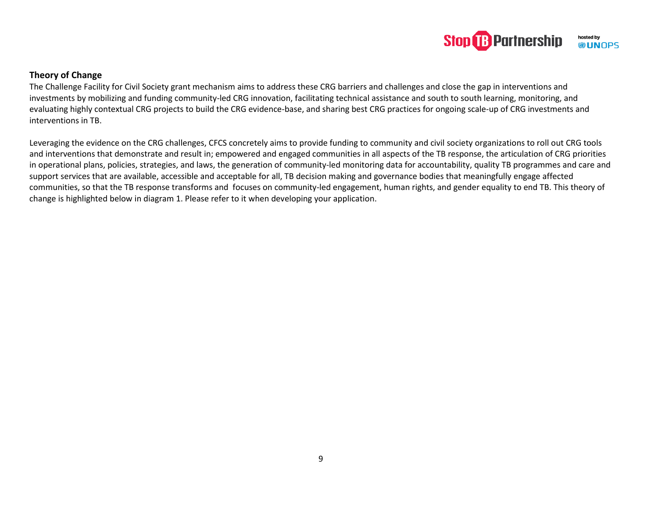

#### **Theory of Change**

The Challenge Facility for Civil Society grant mechanism aims to address these CRG barriers and challenges and close the gap in interventions and investments by mobilizing and funding community-led CRG innovation, facilitating technical assistance and south to south learning, monitoring, and evaluating highly contextual CRG projects to build the CRG evidence-base, and sharing best CRG practices for ongoing scale-up of CRG investments and interventions in TB.

Leveraging the evidence on the CRG challenges, CFCS concretely aims to provide funding to community and civil society organizations to roll out CRG tools and interventions that demonstrate and result in; empowered and engaged communities in all aspects of the TB response, the articulation of CRG priorities in operational plans, policies, strategies, and laws, the generation of community-led monitoring data for accountability, quality TB programmes and care and support services that are available, accessible and acceptable for all, TB decision making and governance bodies that meaningfully engage affected communities, so that the TB response transforms and focuses on community-led engagement, human rights, and gender equality to end TB. This theory of change is highlighted below in diagram 1. Please refer to it when developing your application.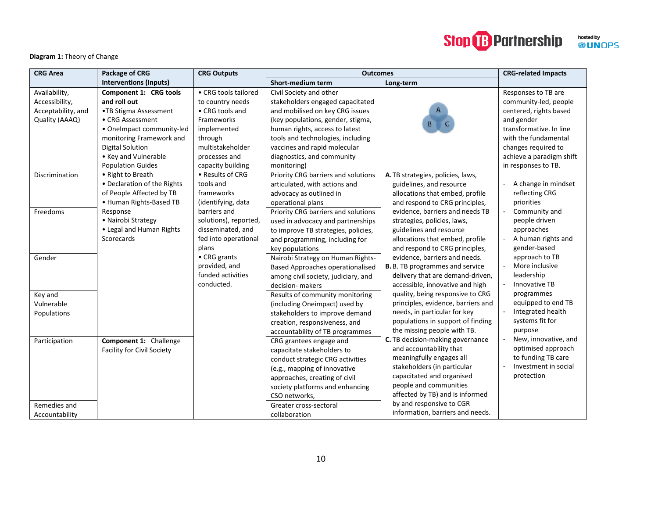## **Stop B** Partnership hosted by<br><sup>©</sup> UNOPS

#### **Diagram 1:** Theory of Change

| <b>CRG Area</b>    | Package of CRG                    | <b>CRG Outputs</b>    | <b>Outcomes</b>                         |                                        | <b>CRG-related Impacts</b> |
|--------------------|-----------------------------------|-----------------------|-----------------------------------------|----------------------------------------|----------------------------|
|                    | <b>Interventions (Inputs)</b>     |                       | Short-medium term                       | Long-term                              |                            |
| Availability,      | Component 1: CRG tools            | • CRG tools tailored  | Civil Society and other                 |                                        | Responses to TB are        |
| Accessibility,     | and roll out                      | to country needs      | stakeholders engaged capacitated        |                                        | community-led, people      |
| Acceptability, and | •TB Stigma Assessment             | • CRG tools and       | and mobilised on key CRG issues         |                                        | centered, rights based     |
| Quality (AAAQ)     | • CRG Assessment                  | Frameworks            | (key populations, gender, stigma,       |                                        | and gender                 |
|                    | • OneImpact community-led         | implemented           | human rights, access to latest          |                                        | transformative. In line    |
|                    | monitoring Framework and          | through               | tools and technologies, including       |                                        | with the fundamental       |
|                    | <b>Digital Solution</b>           | multistakeholder      | vaccines and rapid molecular            |                                        | changes required to        |
|                    | • Key and Vulnerable              | processes and         | diagnostics, and community              |                                        | achieve a paradigm shift   |
|                    | <b>Population Guides</b>          | capacity building     | monitoring)                             |                                        | in responses to TB.        |
| Discrimination     | • Right to Breath                 | • Results of CRG      | Priority CRG barriers and solutions     | A. TB strategies, policies, laws,      |                            |
|                    | • Declaration of the Rights       | tools and             | articulated, with actions and           | guidelines, and resource               | A change in mindset        |
|                    | of People Affected by TB          | frameworks            | advocacy as outlined in                 | allocations that embed, profile        | reflecting CRG             |
|                    | • Human Rights-Based TB           | (identifying, data    | operational plans                       | and respond to CRG principles,         | priorities                 |
| Freedoms           | Response                          | barriers and          | Priority CRG barriers and solutions     | evidence, barriers and needs TB        | Community and              |
|                    | • Nairobi Strategy                | solutions), reported, | used in advocacy and partnerships       | strategies, policies, laws,            | people driven              |
|                    | • Legal and Human Rights          | disseminated, and     | to improve TB strategies, policies,     | guidelines and resource                | approaches                 |
|                    | Scorecards                        | fed into operational  | and programming, including for          | allocations that embed, profile        | A human rights and         |
|                    |                                   | plans                 | key populations                         | and respond to CRG principles,         | gender-based               |
| Gender             |                                   | • CRG grants          | Nairobi Strategy on Human Rights-       | evidence, barriers and needs.          | approach to TB             |
|                    |                                   | provided, and         | <b>Based Approaches operationalised</b> | <b>B.</b> B. TB programmes and service | More inclusive             |
|                    |                                   | funded activities     | among civil society, judiciary, and     | delivery that are demand-driven,       | leadership                 |
|                    |                                   | conducted.            | decision- makers                        | accessible, innovative and high        | Innovative TB              |
| Key and            |                                   |                       | Results of community monitoring         | quality, being responsive to CRG       | programmes                 |
| Vulnerable         |                                   |                       | (including Oneimpact) used by           | principles, evidence, barriers and     | equipped to end TB         |
| Populations        |                                   |                       | stakeholders to improve demand          | needs, in particular for key           | Integrated health          |
|                    |                                   |                       | creation, responsiveness, and           | populations in support of finding      | systems fit for            |
|                    |                                   |                       | accountability of TB programmes         | the missing people with TB.            | purpose                    |
| Participation      | Component 1: Challenge            |                       | CRG grantees engage and                 | C. TB decision-making governance       | New, innovative, and       |
|                    | <b>Facility for Civil Society</b> |                       | capacitate stakeholders to              | and accountability that                | optimised approach         |
|                    |                                   |                       | conduct strategic CRG activities        | meaningfully engages all               | to funding TB care         |
|                    |                                   |                       | (e.g., mapping of innovative            | stakeholders (in particular            | Investment in social       |
|                    |                                   |                       | approaches, creating of civil           | capacitated and organised              | protection                 |
|                    |                                   |                       | society platforms and enhancing         | people and communities                 |                            |
|                    |                                   |                       | CSO networks,                           | affected by TB) and is informed        |                            |
| Remedies and       |                                   |                       | Greater cross-sectoral                  | by and responsive to CGR               |                            |
| Accountability     |                                   |                       | collaboration                           | information, barriers and needs.       |                            |